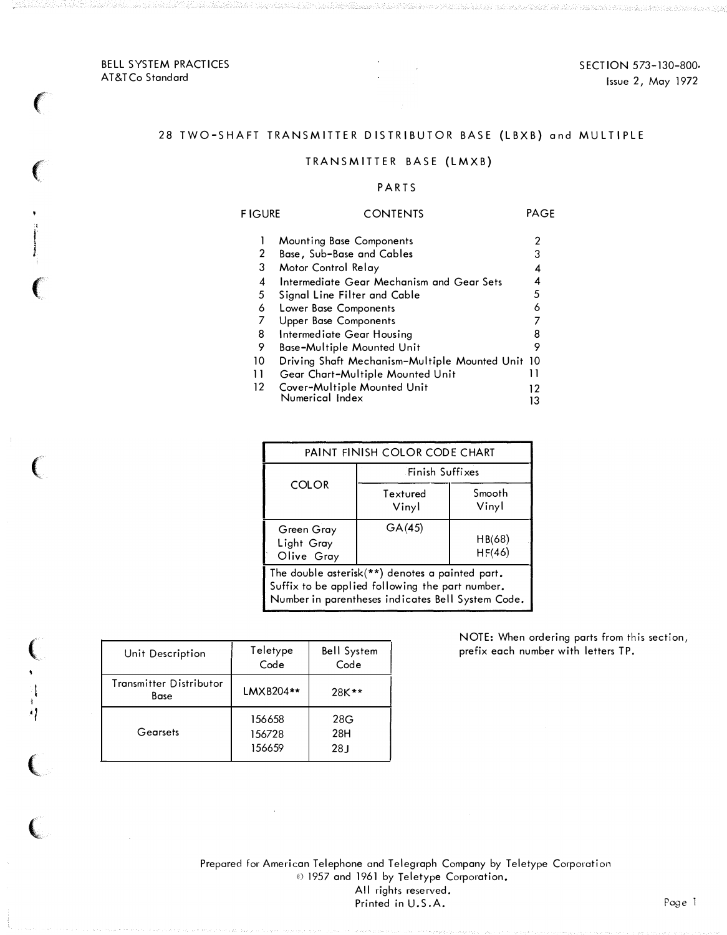SECTION 573-130-800. Issue 2, May 1972

#### BELL SYSTEM PRACTICES AT&T Co Standard

 $\big($ 

 $\big($ 

,  $\frac{1}{2}$  ,  $\frac{1}{2}$ 

 $\epsilon$ 

 $\overline{\mathbb{C}}$ 

 $\overline{C}$ 

I

·I

 $\overline{C}$ 

 $\overline{\mathbb{C}}$ 

# 28 TWO-SHAFT TRANSMITTER DISTRIBUTOR BASE (LBXB) and MULTIPLE

# TRANSMITTER BASE (LMXB)

#### P ARTS

| <b>FIGURE</b> | <b>CONTENTS</b>                                  | PAGE |
|---------------|--------------------------------------------------|------|
|               | Mounting Base Components                         | 2    |
| 2             | Base, Sub-Base and Cables                        | 3    |
| 3             | Motor Control Relay                              | 4    |
| 4             | Intermediate Gear Mechanism and Gear Sets        | 4    |
| 5             | Signal Line Filter and Cable                     | 5    |
| 6             | Lower Base Components                            | 6    |
| 7             | <b>Upper Base Components</b>                     |      |
| 8             | Intermediate Gear Housing                        |      |
| 9             | Base-Multiple Mounted Unit                       | 9    |
| 10            | Driving Shaft Mechanism-Multiple Mounted Unit 10 |      |
| 11            | Gear Chart-Multiple Mounted Unit                 | 11   |
| $12 \,$       | Cover-Multiple Mounted Unit                      | 12   |
|               | Numerical Index                                  | ıз   |

| PAINT FINISH COLOR CODE CHART                                                                                                                           |                   |                  |  |  |  |  |
|---------------------------------------------------------------------------------------------------------------------------------------------------------|-------------------|------------------|--|--|--|--|
|                                                                                                                                                         | Finish Suffixes   |                  |  |  |  |  |
| <b>COLOR</b>                                                                                                                                            | Textured<br>Vinyl | Smooth<br>Vinyl  |  |  |  |  |
| Green Gray<br>Light Gray<br>Olive Gray                                                                                                                  | GA(45)            | HB(68)<br>HF(46) |  |  |  |  |
| The double asterisk(**) denotes a painted part.<br>Suffix to be applied following the part number.<br>Number in parentheses indicates Bell System Code. |                   |                  |  |  |  |  |

| Unit Description                | Teletype<br>Code           | <b>Bell System</b><br>Code    |
|---------------------------------|----------------------------|-------------------------------|
| Transmitter Distributor<br>Base | LMXB204**                  | $28K**$                       |
| Gearsets                        | 156658<br>156728<br>156659 | 28G<br>28H<br>28 <sub>J</sub> |

NOTE: When ordering parts from this section, prefix each number with letters TP.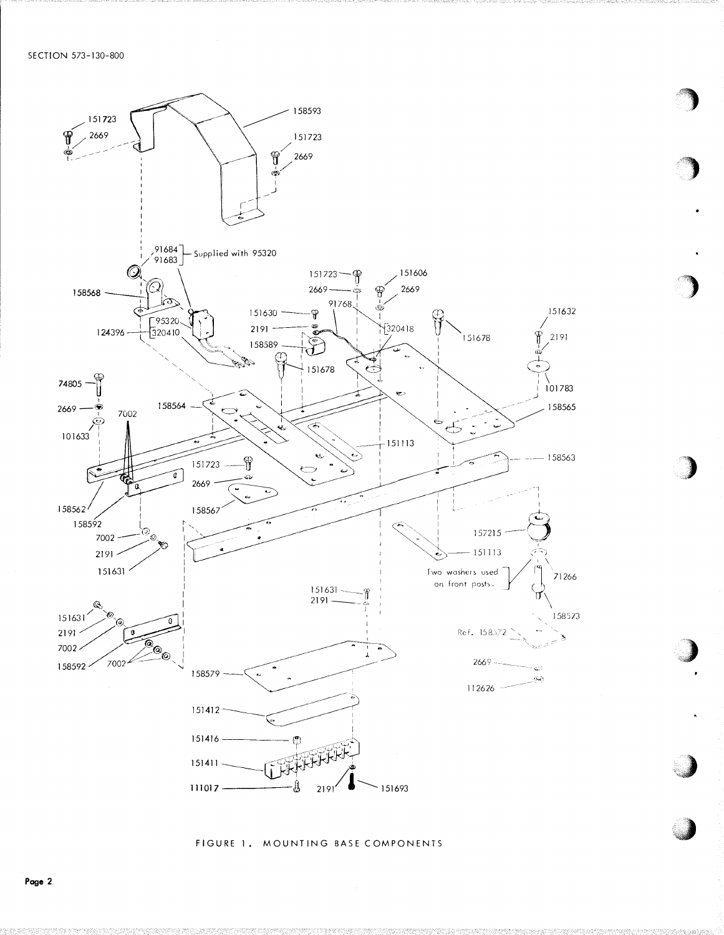

FIGURE 1. MOUNTING BASE COMPONENTS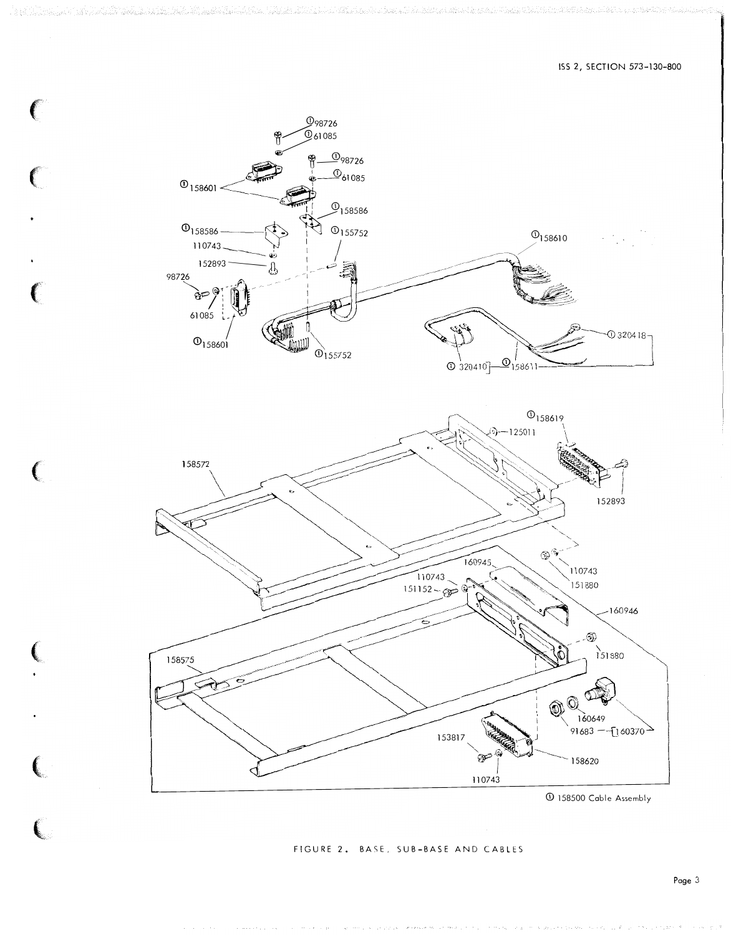

€

€

€

 $\epsilon$ 

 $\overline{C}$ 

158500 Cable Assembly

FIGURE 2. BASE, SUB-BASE AND CABLES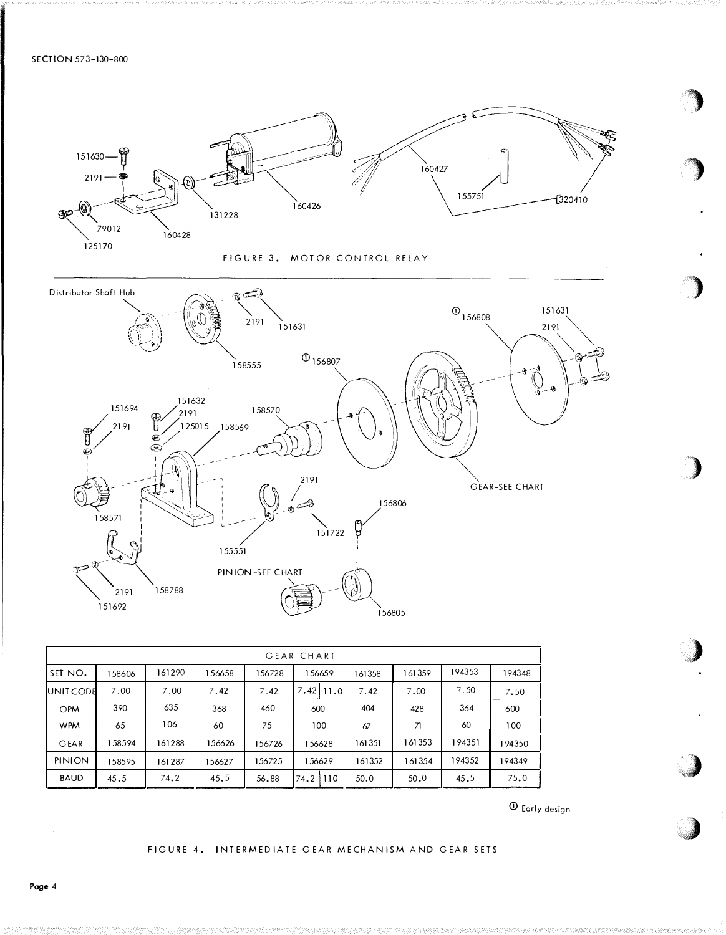SECTION 573-130-800



| <b>GEAR CHART</b> |        |        |        |        |               |        |        |        |        |
|-------------------|--------|--------|--------|--------|---------------|--------|--------|--------|--------|
| SET NO.           | 158606 | 161290 | 56658  | 156728 | 156659        | 161358 | 161359 | 194353 | 194348 |
| <b>JUNIT CODE</b> | 7.00   | 7.00   | 7.42   | 7.42   | $7.42$   11.0 | 7.42   | 7.00   | 7.50   | 7.50   |
| <b>OPM</b>        | 390    | 635    | 368    | 460    | 600           | 404    | 428    | 364    | 600    |
| <b>WPM</b>        | 65     | 106    | 60     | 75     | 100           | 67     | 71     | 60     | 100    |
| GEAR              | 158594 | 161288 | 156626 | 156726 | 156628        | 161351 | 161353 | 194351 | 194350 |
| <b>PINION</b>     | 158595 | 161287 | 56627  | 156725 | 156629        | 161352 | 161354 | 194352 | 94349  |
| <b>BAUD</b>       | 45.5   | 74.2   | 45.5   | 56.88  | 74.2 110      | 50.0   | 50.0   | 45.5   | 75.0   |

 $\Phi$  Early design

FIGURE 4. INTERMEDIATE GEAR MECHANISM AND GEAR SETS

Page 4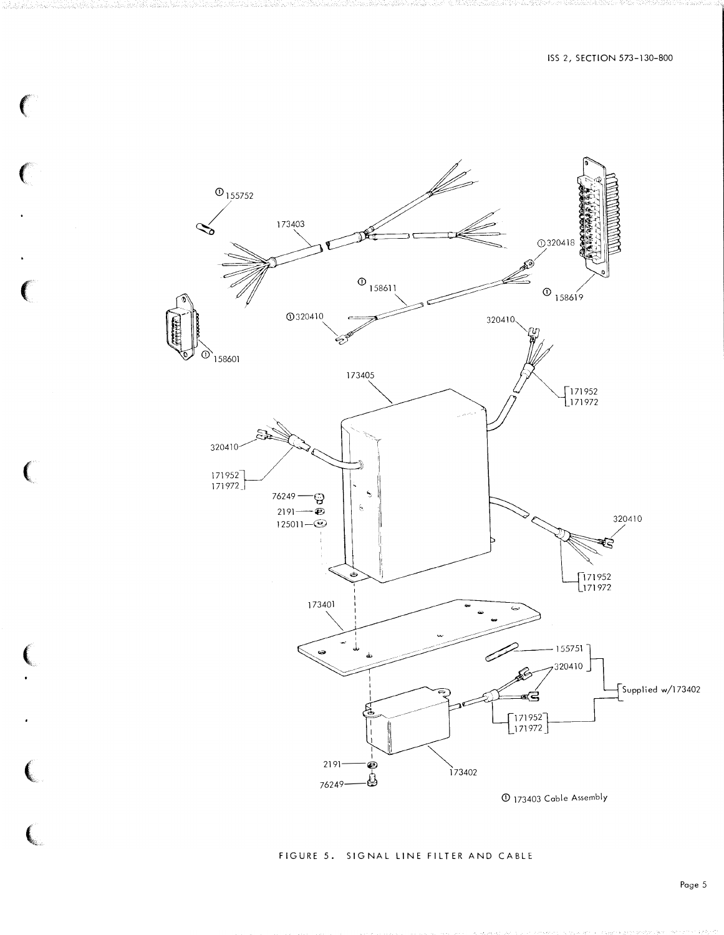

 $\big($ 

 $\big($ 

 $\big($ 

€

 $\overline{\mathbf{C}}$ 

 $\left($ 

#### FIGURE 5. SIGNAL LINE FILTER AND CABLE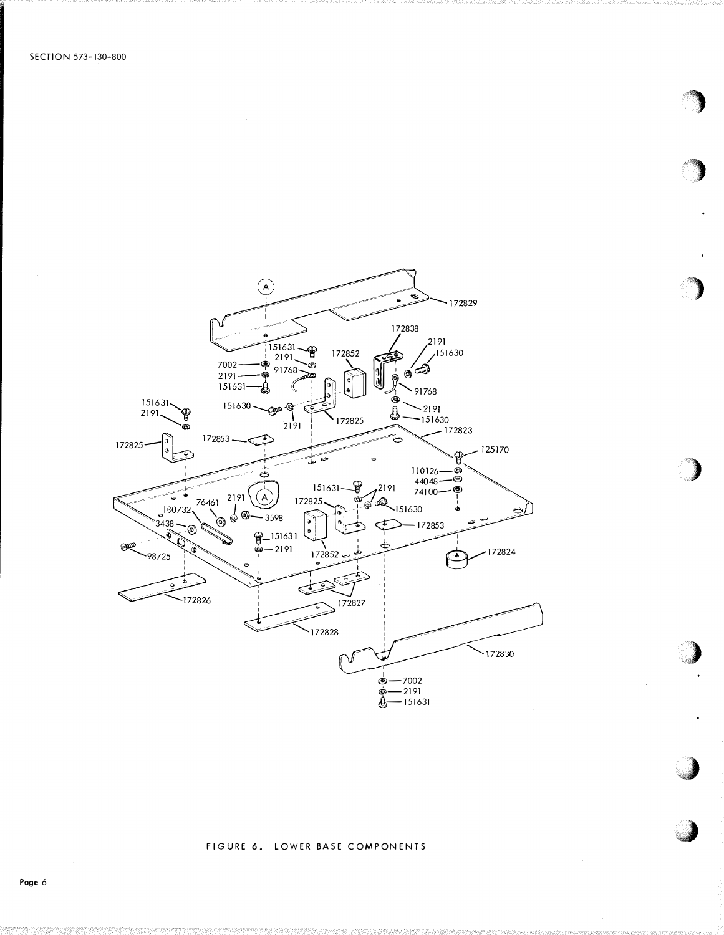

## FIGURE 6. LOWER BASE COMPONENTS

Page 6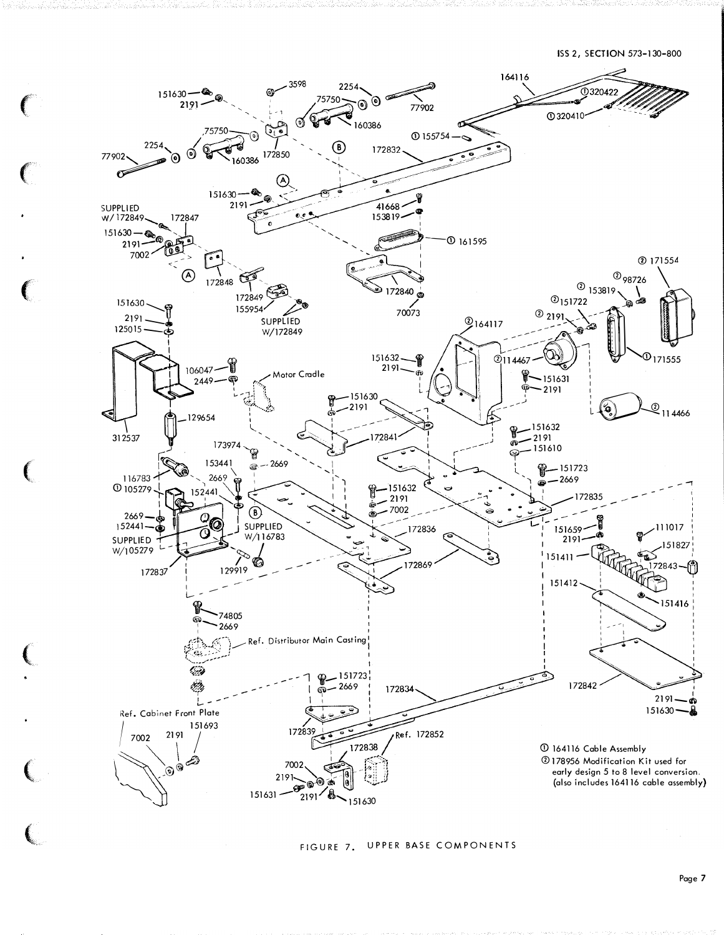

FIGURE 7. UPPER BASE COMPONENTS

 $\big($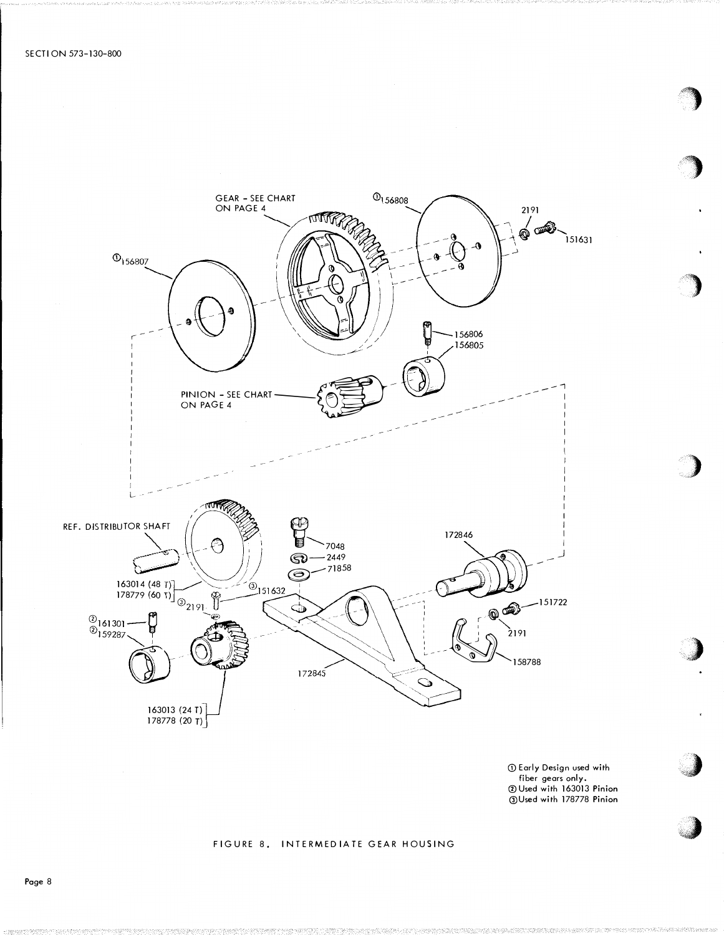

1 Early Design used with Frame Design Design Committee<br>Fiber gears only.<br>The Used with 178778 Pinion

### FIGURE 8. INTERMEDIATE GEAR HOUSING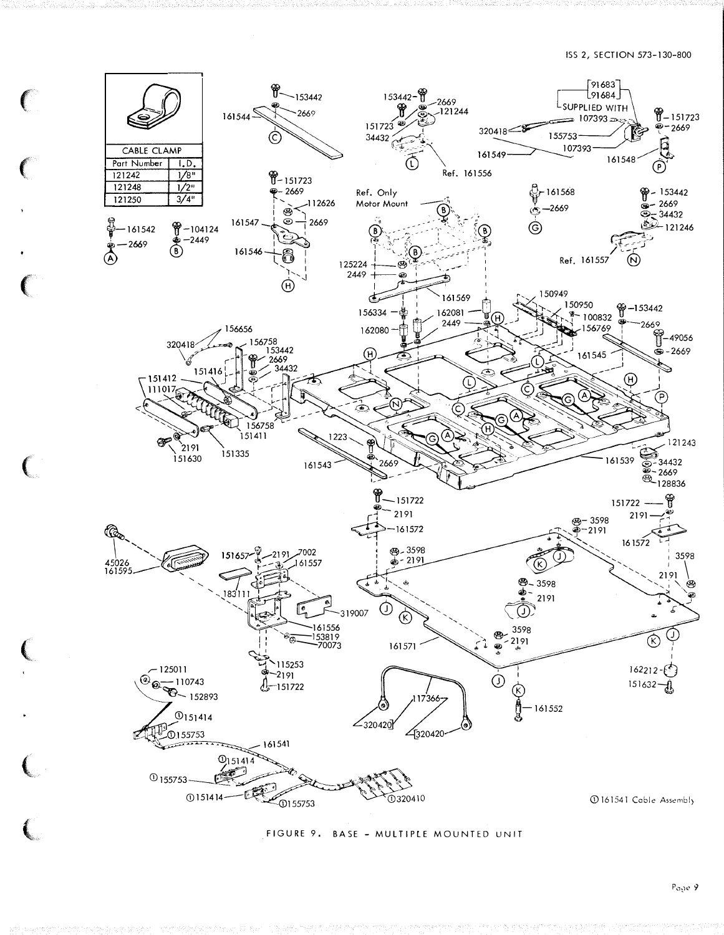

FIGURE 9. BASE - MULTIPLE MOUNTED UNIT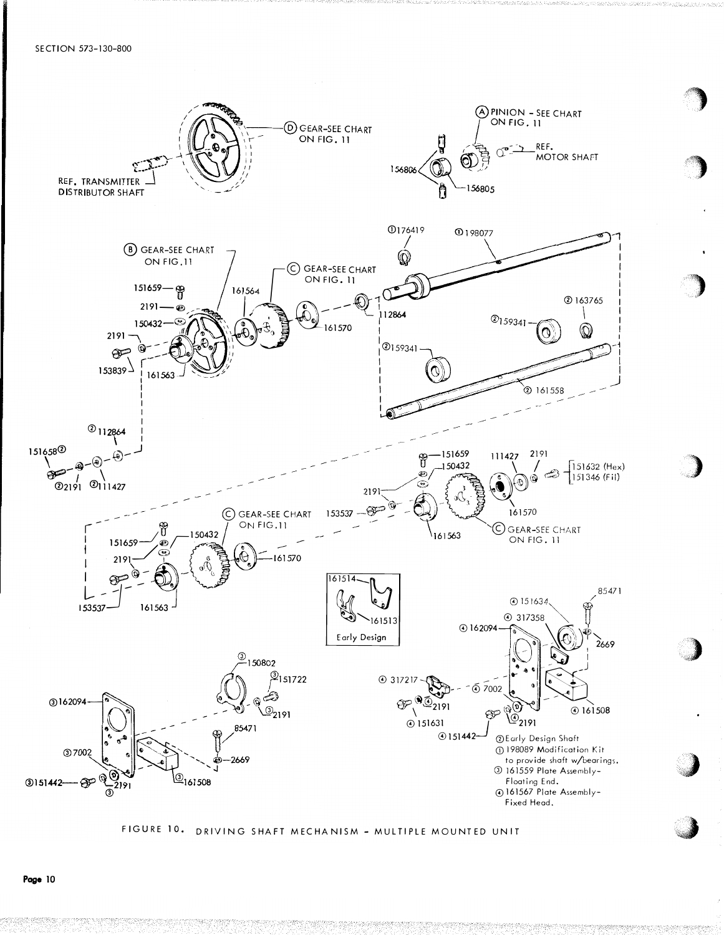

# FIGURE 10. DRIVING SHAFT MECHANISM - MULTIPLE MOUNTED UNIT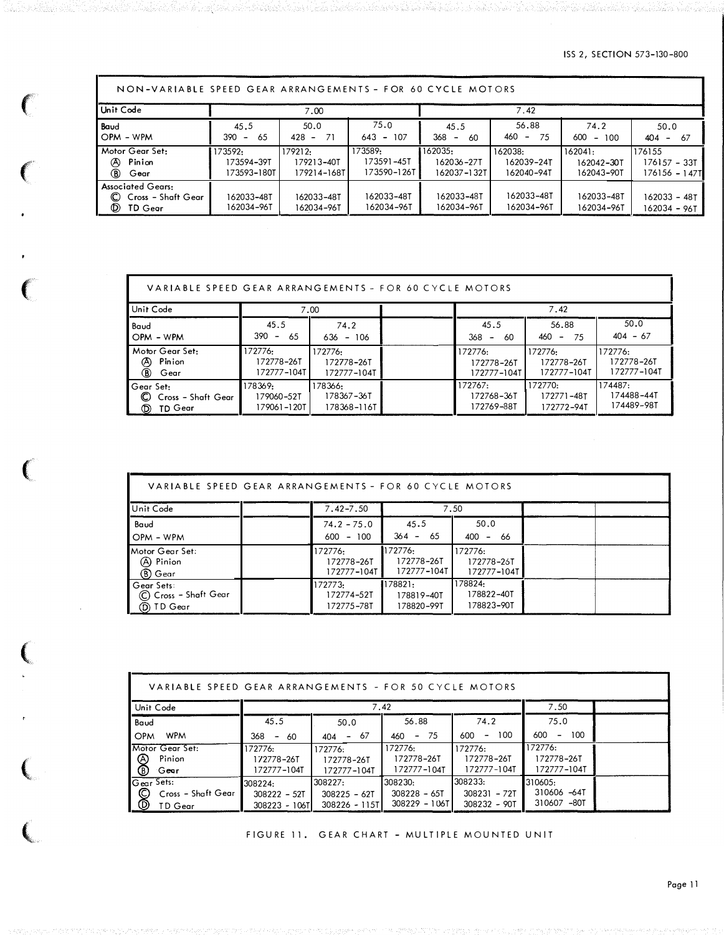ISS 2, SECTION 573-130-800

٦

ne de la 192

| NON-VARIABLE SPEED GEAR ARRANGEMENTS - FOR 60 CYCLE MOTORS                         |                                      |                                      |                                      |                                               |                                     |                                     |                                           |  |
|------------------------------------------------------------------------------------|--------------------------------------|--------------------------------------|--------------------------------------|-----------------------------------------------|-------------------------------------|-------------------------------------|-------------------------------------------|--|
| Unit Code                                                                          |                                      | 7.00                                 |                                      |                                               | 7.42                                |                                     |                                           |  |
| Baud<br>OPM - WPM                                                                  | 45.5<br>65<br>390<br>$\sim$          | 50.0<br>$428 -$<br>-71               | 75.0<br>$643 - 107$                  | 45.5<br>368<br>60<br>$\overline{\phantom{a}}$ | 56.88<br>460<br>-75<br>$\sim$       | 74.2<br>600<br>100<br>$\sim$        | 50.0<br>404<br>-67<br>$\sim$              |  |
| Motor Gear Set:<br>Pinion<br><b>A</b><br>(B) Gear                                  | 173592.<br>173594-39T<br>173593-180T | 179212:<br>179213-40T<br>179214-168T | 173589:<br>173591-45T<br>173590-126T | 162035:<br>162036-27T<br>162037-132T          | 162038:<br>162039-24T<br>162040-94T | 162041:<br>162042-30T<br>162043-90T | 176155<br>176157 - 33T<br>$176156 - 147T$ |  |
| <b>Associated Gears:</b><br>$\mathbb{C}$<br>Cross – Shaft Gear<br><b>D</b> TD Gear | 162033-48T<br>162034-96T             | 162033-48T<br>162034-96T             | 162033-48T<br>162034-96T             | 162033-48T<br>162034-96T                      | 162033-48T<br>162034-96T            | 162033-48T<br>162034-96T            | 162033 - 48T<br>162034 - 96T              |  |

ara da katikat da kata da kasa da kata katika da katika da kasan da kasa da kasa da kasa da kasa da kasa da ka

 $\mathbf{C}$ 

Jaio kalendari

(), 2020년, 20일)(Producede) 20일(1964년), 201

Г

 $\left($ 

 $\mathbf{C}$ 

(

 $\mathbf{C}$ 

 $\left(\begin{array}{c}$ 

 $\big($ 

| VARIABLE SPEED GEAR ARRANGEMENTS - FOR 60 CYCLE MOTORS             |                                      |                                      |  |                                      |                                      |                                      |  |  |  |
|--------------------------------------------------------------------|--------------------------------------|--------------------------------------|--|--------------------------------------|--------------------------------------|--------------------------------------|--|--|--|
| Unit Code                                                          |                                      | 7.00                                 |  |                                      | 7.42                                 |                                      |  |  |  |
| Baud<br>OPM - WPM                                                  | 45.5<br>$390 -$<br>65                | 74.2<br>636 - 106                    |  | 45.5<br>368 –<br>60                  | 56.88<br>460<br>- 75<br>$\sim$       | 50.0<br>$404 - 67$                   |  |  |  |
| Motor Gear Set:<br>Pinion<br>Ø<br><b>B</b><br>Gear                 | 172776:<br>172778-26T<br>172777-104T | 172776:<br>172778-26T<br>172777-104T |  | 172776:<br>172778-26T<br>172777-104T | 172776:<br>172778-26T<br>172777-104T | 172776:<br>172778-26T<br>172777-104T |  |  |  |
| ∎Gear Set:<br>C<br>Cross - Shaft Gear<br>$\circledcirc$<br>TD Gear | 178369:<br>179060-52T<br>179061-120T | 178366:<br>178367-36T<br>178368-116T |  | 172767:<br>172768-36T<br>172769-88T  | 172770:<br>172771-48T<br>172772-94T  | 174487:<br>174488-44T<br>174489-98T  |  |  |  |

| VARIABLE SPEED GEAR ARRANGEMENTS - FOR 60 CYCLE MOTORS |                                      |                                      |                                      |  |
|--------------------------------------------------------|--------------------------------------|--------------------------------------|--------------------------------------|--|
| Unit Code                                              | $7.42 - 7.50$                        |                                      | 7.50                                 |  |
| Baud<br>OPM - WPM                                      | $74.2 - 75.0$<br>$600 - 100$         | 45.5<br>$364 - 65$                   | 50.0<br>$400 - 66$                   |  |
| Motor Gear Set:<br>(A) Pinion<br>(B) Gear              | 172776:<br>172778-26T<br>172777-104T | 172776:<br>172778-26T<br>172777-104T | 172776:<br>172778-26T<br>172777-104T |  |
| Gear Sets:<br>C Cross - Shaft Gear<br>(D) TD Gear      | 172773:<br>172774-52T<br>172775-78T  | 178821:<br>178819-40T<br>178820-99T  | 178824:<br>178822-40T<br>178823-90T  |  |

| VARIABLE SPEED GEAR ARRANGEMENTS - FOR 50 CYCLE MOTORS |                                       |               |                |               |                                            |  |  |  |  |
|--------------------------------------------------------|---------------------------------------|---------------|----------------|---------------|--------------------------------------------|--|--|--|--|
| Unit Code                                              |                                       |               | 7.42           |               | 7.50                                       |  |  |  |  |
| Baud                                                   | 45.5                                  | 50.0          | 56.88          | 74.2          | 75.0                                       |  |  |  |  |
| <b>WPM</b><br><b>OPM</b>                               | 368<br>60<br>$\overline{\phantom{a}}$ | - 67<br>404   | $460 - 75$     | $-100$<br>600 | 600<br>100<br>$\qquad \qquad \blacksquare$ |  |  |  |  |
| Motor Gear Set:                                        | 172776:                               | 172776:       | 172776:        | 172776:       | 172776:                                    |  |  |  |  |
| $ \,\!\circledast\!\!$<br>Pinion                       | 172778-26T                            | 172778-26T    | 172778-26T     | 172778-26T    | 172778-26T                                 |  |  |  |  |
| Gear                                                   | 172777-104T                           | 172777-104T   | 172777-104T    | 172777-104T   | 172777-104T                                |  |  |  |  |
| Gear Sets:                                             | 308224:                               | 308227:       | l308230:       | 308233:       | 310605:                                    |  |  |  |  |
| $\boxed{\mathcal{S}}$<br>Cross - Shaft Gear            | $308222 - 52T$                        | 308225 - 62T  | $308228 - 65T$ | 308231 - 72T  | 310606 -64T                                |  |  |  |  |
| TD Gear                                                | 308223 - 106TI                        | 308226 - 115T | 308229 - 106T  | 308232 - 90T  | 310607 -80T                                |  |  |  |  |

FIGURE 11. GEAR CHART - MULTIPLE MOUNTED UNIT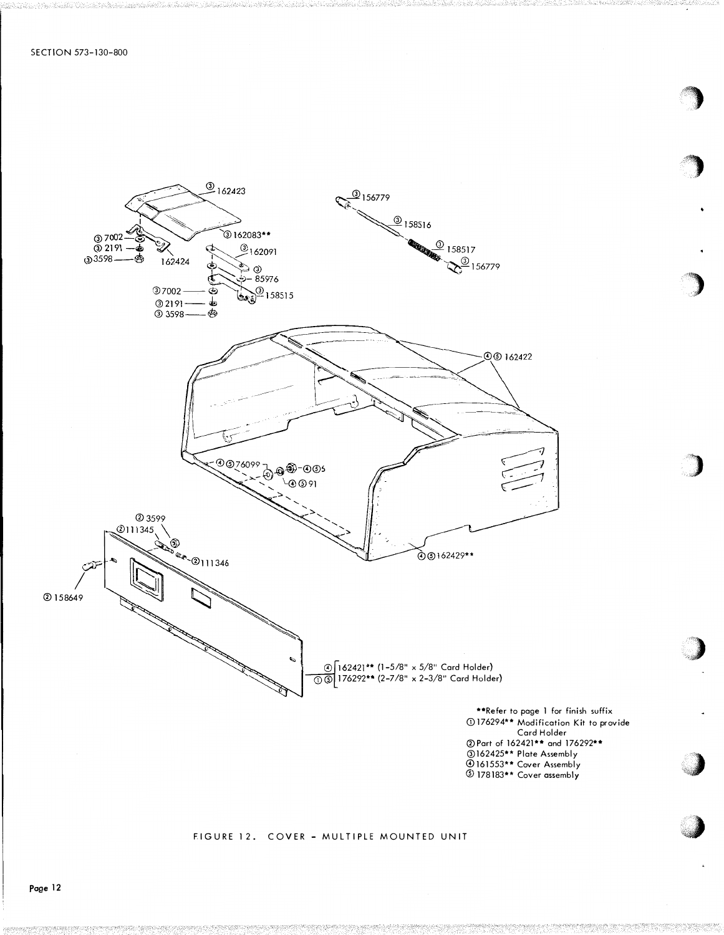

#### FIGURE 12. COVER - MULTIPLE MOUNTED UNIT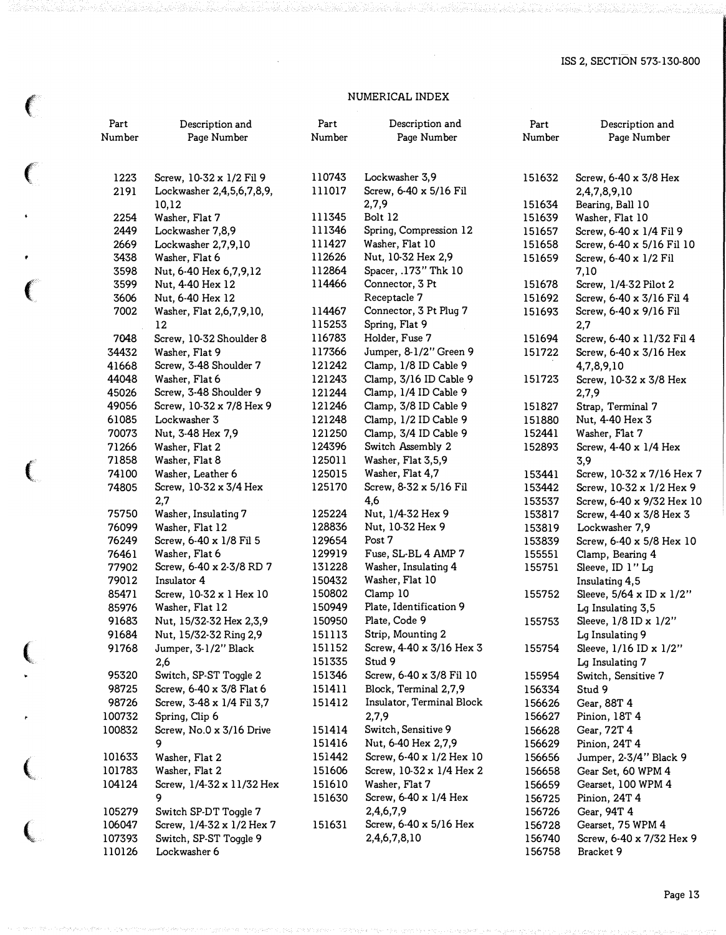# NUMERICAL INDEX

 $\left($ 

 $\left($ 

 $\bullet$ 

(

 $\left($ 

 $\left($ 

|         | Part<br>Number | Description and<br>Page Number | Part<br>Number | Description and<br>Page Number | Part<br>Number | Description and<br>Page Number |
|---------|----------------|--------------------------------|----------------|--------------------------------|----------------|--------------------------------|
|         | 1223           | Screw, 10-32 x 1/2 Fil 9       | 110743         | Lockwasher 3,9                 | 151632         | Screw, 6-40 x 3/8 Hex          |
|         | 2191           | Lockwasher 2,4,5,6,7,8,9,      | 111017         | Screw, 6-40 x 5/16 Fil         |                | 2,4,7,8,9,10                   |
|         |                | 10,12                          |                | 2,7,9                          | 151634         | Bearing, Ball 10               |
|         | 2254           | Washer, Flat 7                 | 111345         | Bolt 12                        | 151639         | Washer, Flat 10                |
|         | 2449           | Lockwasher 7,8,9               | 111346         | Spring, Compression 12         | 151657         | Screw, 6-40 x 1/4 Fil 9        |
|         | 2669           | Lockwasher 2,7,9,10            | 111427         | Washer, Flat 10                | 151658         | Screw, 6-40 x 5/16 Fil 10      |
|         | 3438           | Washer, Flat 6                 | 112626         | Nut, 10-32 Hex 2,9             | 151659         | Screw, 6-40 x 1/2 Fil          |
|         | 3598           | Nut, 6-40 Hex 6,7,9,12         | 112864         | Spacer, .173" Thk 10           |                | 7,10                           |
|         | 3599           | Nut, 4-40 Hex 12               | 114466         | Connector, 3 Pt                | 151678         | Screw, 1/4-32 Pilot 2          |
|         | 3606           | Nut, 6-40 Hex 12               |                | Receptacle 7                   | 151692         | Screw, 6-40 x 3/16 Fil 4       |
|         | 7002           | Washer, Flat 2,6,7,9,10,       | 114467         | Connector, 3 Pt Plug 7         | 151693         | Screw, 6-40 x 9/16 Fil         |
|         |                | $12\phantom{.0}$               | 115253         | Spring, Flat 9                 |                | 2,7                            |
|         | 7048           | Screw, 10-32 Shoulder 8        | 116783         | Holder, Fuse 7                 | 151694         | Screw, 6-40 x 11/32 Fil 4      |
|         | 34432          | Washer, Flat 9                 | 117366         | Jumper, 8-1/2" Green 9         | 151722         | Screw, 6-40 x 3/16 Hex         |
|         | 41668          | Screw, 3-48 Shoulder 7         | 121242         | Clamp, 1/8 ID Cable 9          |                | 4,7,8,9,10                     |
|         | 44048          | Washer, Flat 6                 | 121243         | Clamp, 3/16 ID Cable 9         | 151723         | Screw, 10-32 x 3/8 Hex         |
|         | 45026          | Screw, 3-48 Shoulder 9         | 121244         | Clamp, 1/4 ID Cable 9          |                | 2,7,9                          |
|         | 49056          | Screw, 10-32 x 7/8 Hex 9       | 121246         | Clamp, 3/8 ID Cable 9          | 151827         | Strap, Terminal 7              |
|         | 61085          | Lockwasher 3                   | 121248         | Clamp, 1/2 ID Cable 9          | 151880         | Nut, 4-40 Hex 3                |
|         | 70073          | Nut, 3-48 Hex 7,9              | 121250         | Clamp, 3/4 ID Cable 9          | 152441         | Washer, Flat 7                 |
|         | 71266          | Washer, Flat 2                 | 124396         | Switch Assembly 2              | 152893         | Screw, 4-40 x 1/4 Hex          |
|         | 71858          | Washer, Flat 8                 | 125011         | Washer, Flat 3,5,9             |                | 3,9                            |
| $\big($ | 74100          | Washer, Leather 6              | 125015         | Washer, Flat 4,7               | 153441         | Screw, 10-32 x 7/16 Hex 7      |
|         | 74805          | Screw, 10-32 x 3/4 Hex         | 125170         | Screw, 8-32 x 5/16 Fil         | 153442         | Screw, 10-32 x 1/2 Hex 9       |
|         |                | 2,7                            |                | 4,6                            | 153537         | Screw, 6-40 x 9/32 Hex 10      |
|         | 75750          | Washer, Insulating 7           | 125224         | Nut, 1/4-32 Hex 9              | 153817         | Screw, 4-40 x 3/8 Hex 3        |
|         | 76099          | Washer, Flat 12                | 128836         | Nut, 10-32 Hex 9               | 153819         | Lockwasher 7,9                 |
|         | 76249          | Screw, 6-40 x 1/8 Fil 5        | 129654         | Post 7                         | 153839         | Screw, 6-40 x 5/8 Hex 10       |
|         | 76461          | Washer, Flat 6                 | 129919         | Fuse, SL-BL 4 AMP 7            | 155551         | Clamp, Bearing 4               |
|         | 77902          | Screw, 6-40 x 2-3/8 RD 7       | 131228         | Washer, Insulating 4           | 155751         | Sleeve, ID 1" Lg               |
|         | 79012          | Insulator 4                    | 150432         | Washer, Flat 10                |                | Insulating 4,5                 |
|         | 85471          | Screw, 10-32 x 1 Hex 10        | 150802         | Clamp 10                       | 155752         | Sleeve, 5/64 x ID x 1/2"       |
|         | 85976          | Washer, Flat 12                | 150949         | Plate, Identification 9        |                | Lg Insulating 3,5              |
|         | 91683          | Nut, 15/32-32 Hex 2,3,9        | 150950         | Plate, Code 9                  | 155753         | Sleeve, 1/8 ID x 1/2"          |
|         | 91684          | Nut, 15/32-32 Ring 2,9         | 151113         | Strip, Mounting 2              |                | Lg Insulating 9                |
|         | 91768          | Jumper, 3-1/2" Black           | 151152         | Screw, 4-40 x 3/16 Hex 3       | 155754         | Sleeve, 1/16 ID x 1/2"         |
|         |                | 2,6                            | 151335         | Stud 9                         |                | Lg Insulating 7                |
|         | 95320          | Switch, SP-ST Toggle 2         | 151346         | Screw, 6-40 x 3/8 Fil 10       | 155954         | Switch, Sensitive 7            |
|         | 98725          | Screw, 6-40 x 3/8 Flat 6       | 151411         | Block, Terminal 2,7,9          | 156334         | Stud 9                         |
|         | 98726          | Screw, 3-48 x 1/4 Fil 3,7      | 151412         | Insulator, Terminal Block      | 156626         | Gear, 88T 4                    |
|         | 100732         | Spring, Clip 6                 |                | 2,7,9                          | 156627         | Pinion, 18T 4                  |
|         | 100832         | Screw, No.0 x 3/16 Drive       | 151414         | Switch, Sensitive 9            | 156628         | Gear, 72T 4                    |
|         |                | 9                              | 151416         | Nut, 6-40 Hex 2,7,9            | 156629         | Pinion, 24T 4                  |
|         | 101633         | Washer, Flat 2                 | 151442         | Screw, 6-40 x 1/2 Hex 10       | 156656         | Jumper, 2-3/4" Black 9         |
|         | 101783         | Washer, Flat 2                 | 151606         | Screw, 10-32 x 1/4 Hex 2       | 156658         | Gear Set, 60 WPM 4             |
|         | 104124         | Screw, 1/4-32 x 11/32 Hex      | 151610         | Washer, Flat 7                 | 156659         | Gearset, 100 WPM 4             |
|         |                | 9                              | 151630         | Screw, 6-40 x 1/4 Hex          | 156725         | Pinion, 24T 4                  |
|         | 105279         | Switch SP-DT Toggle 7          |                | 2,4,6,7,9                      | 156726         | Gear, 94T 4                    |
|         | 106047         | Screw, 1/4-32 x 1/2 Hex 7      | 151631         | Screw, 6-40 x 5/16 Hex         | 156728         | Gearset, 75 WPM 4              |
|         | 107393         | Switch, SP-ST Toggle 9         |                | 2,4,6,7,8,10                   | 156740         | Screw, 6-40 x 7/32 Hex 9       |
|         | 110126         | Lockwasher 6                   |                |                                | 156758         | Bracket 9                      |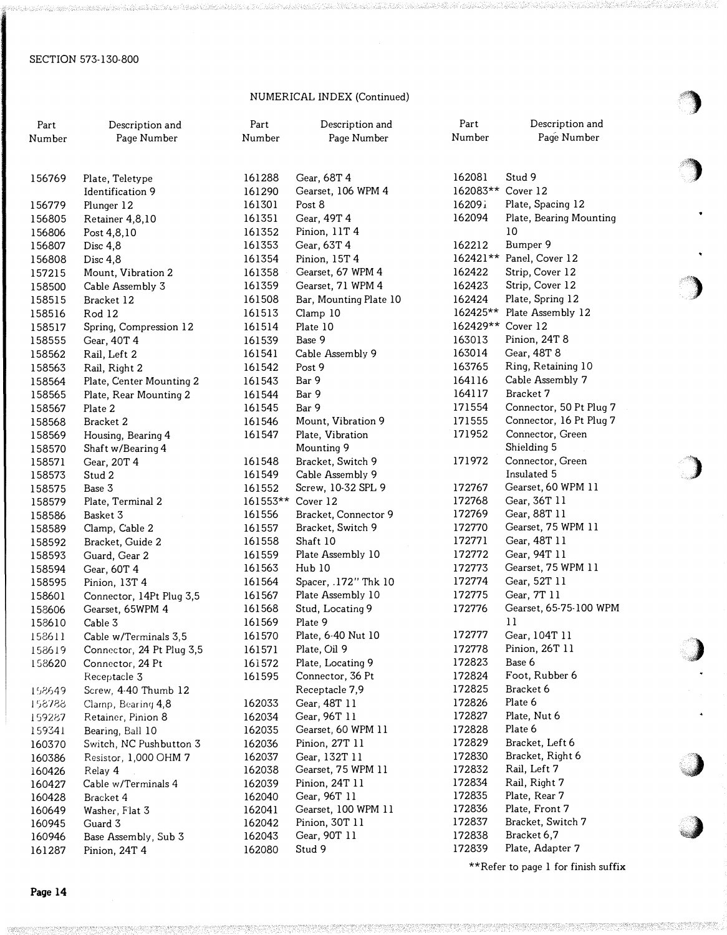# NUMERICAL INDEX (Continued)

| Part<br>Number   | Description and<br>Page Number | Part<br>Number    | Description and<br>Page Number | Part<br>Number   | Description and<br>Page Number     |  |
|------------------|--------------------------------|-------------------|--------------------------------|------------------|------------------------------------|--|
| 156769           | Plate, Teletype                | 161288            | Gear, 68T 4                    | 162081           | Stud 9                             |  |
|                  | Identification 9               | 161290            | Gearset, 106 WPM 4             | 162083**         | Cover 12                           |  |
| 156779           | Plunger 12                     | 161301            | Post 8                         | 16209i           | Plate, Spacing 12                  |  |
| 156805           | Retainer 4,8,10                | 161351            | Gear, 49T 4                    | 162094           | Plate, Bearing Mounting            |  |
| 156806           | Post 4,8,10                    | 161352            | Pinion, 11T 4                  |                  | 10                                 |  |
| 156807           | Disc 4,8                       | 161353            | Gear, 63T 4                    | 162212           | Bumper 9                           |  |
| 156808           | Disc $4,8$                     | 161354            | Pinion, 15T 4                  | $162421**$       | Panel, Cover 12                    |  |
| 157215           | Mount, Vibration 2             | 161358            | Gearset, 67 WPM 4              | 162422           | Strip, Cover 12                    |  |
| 158500           | Cable Assembly 3               | 161359            | Gearset, 71 WPM 4              | 162423           | Strip, Cover 12                    |  |
| 158515           | Bracket 12                     | 161508            | Bar, Mounting Plate 10         | 162424           | Plate, Spring 12                   |  |
| 158516           | Rod 12                         | 161513            | Clamp 10                       | 162425**         | Plate Assembly 12                  |  |
| 158517           | Spring, Compression 12         | 161514            | Plate 10                       | 162429**         | Cover 12                           |  |
| 158555           | Gear, 40T 4                    | 161539            | Base 9                         | 163013           | Pinion, 24T 8                      |  |
| 158562           | Rail, Left 2                   | 161541            | Cable Assembly 9               | 163014           | Gear, 48T 8                        |  |
| 158563           | Rail, Right 2                  | 161542            | Post 9                         | 163765           | Ring, Retaining 10                 |  |
| 158564           | Plate, Center Mounting 2       | 161543            | Bar 9                          | 164116           | Cable Assembly 7                   |  |
| 158565           | Plate, Rear Mounting 2         | 161544            | Bar 9                          | 164117           | Bracket 7                          |  |
| 158567           | Plate 2                        | 161545            | Bar 9                          | 171554           | Connector, 50 Pt Plug 7            |  |
| 158568           | Bracket 2                      | 161546            | Mount, Vibration 9             | 171555           | Connector, 16 Pt Plug 7            |  |
| 158569           | Housing, Bearing 4             | 161547            | Plate, Vibration               | 171952           | Connector, Green                   |  |
| 158570           | Shaft w/Bearing 4              |                   | Mounting 9                     |                  | Shielding 5                        |  |
| 158571           | Gear, 20T 4                    | 161548            | Bracket, Switch 9              | 171972           | Connector, Green                   |  |
| 158573           | Stud 2                         | 161549            | Cable Assembly 9               |                  | Insulated 5                        |  |
| 158575           | Base 3                         | 161552            | Screw, 10-32 SPL 9             | 172767           | Gearset, 60 WPM 11                 |  |
| 158579           | Plate, Terminal 2              | 161553** Cover 12 |                                | 172768           | Gear, 36T 11                       |  |
| 158586           | Basket 3                       | 161556            | Bracket, Connector 9           | 172769           | Gear, 88T 11                       |  |
| 158589           | Clamp, Cable 2                 | 161557            | Bracket, Switch 9              | 172770           | Gearset, 75 WPM 11                 |  |
| 158592           | Bracket, Guide 2               | 161558            | Shaft 10                       | 172771<br>172772 | Gear, 48T 11                       |  |
| 158593           | Guard, Gear 2                  | 161559            | Plate Assembly 10              | 172773           | Gear, 94T 11<br>Gearset, 75 WPM 11 |  |
| 158594           | Gear, 60T 4                    | 161563<br>161564  | Hub 10<br>Spacer, .172" Thk 10 | 172774           | Gear, 52T 11                       |  |
| 158595           | Pinion, 13T 4                  | 161567            | Plate Assembly 10              | 172775           | Gear, 7T 11                        |  |
| 158601           | Connector, 14Pt Plug 3,5       | 161568            | Stud, Locating 9               | 172776           | Gearset, 65-75-100 WPM             |  |
| 158606<br>158610 | Gearset, 65WPM 4<br>Cable 3    | 161569            | Plate 9                        |                  | $_{11}$                            |  |
| 158611           | Cable w/Terminals 3,5          | 161570            | Plate, 6-40 Nut 10             | 172777           | Gear, 104T 11                      |  |
| 158619           | Connector, 24 Pt Plug 3,5      | 161571            | Plate, Oil 9                   | 172778           | Pinion, 26T 11                     |  |
| 158620           | Connector, 24 Pt               | 161572            | Plate, Locating 9              | 172823           | Base 6                             |  |
|                  | Receptacle 3                   | 161595            | Connector, 36 Pt               | 172824           | Foot, Rubber 6                     |  |
| 158649           | Screw, 4-40 Thumb 12           |                   | Receptacle 7,9                 | 172825           | Bracket 6                          |  |
| 158788           | Clamp, Bearing 4,8             | 162033            | Gear, 48T 11                   | 172826           | Plate 6                            |  |
| 159287           | Retainer, Pinion 8             | 162034            | Gear, 96T 11                   | 172827           | Plate, Nut 6                       |  |
| 159341           | Bearing, Ball 10               | 162035            | Gearset, 60 WPM 11             | 172828           | Plate 6                            |  |
| 160370           | Switch, NC Pushbutton 3        | 162036            | Pinion, 27T 11                 | 172829           | Bracket, Left 6                    |  |
| 160386           | Resistor, 1,000 OHM 7          | 162037            | Gear, 132T 11                  | 172830           | Bracket, Right 6                   |  |
| 160426           | Relay 4                        | 162038            | Gearset, 75 WPM 11             | 172832           | Rail, Left 7                       |  |
| 160427           | Cable w/Terminals 4            | 162039            | Pinion, 24T 11                 | 172834           | Rail, Right 7                      |  |
| 160428           | Bracket 4                      | 162040            | Gear, 96T 11                   | 172835           | Plate, Rear 7                      |  |
| 160649           | Washer, Flat 3                 | 162041            | Gearset, 100 WPM 11            | 172836           | Plate, Front 7                     |  |
| 160945           | Guard 3                        | 162042            | Pinion, 30T 11                 | 172837           | Bracket, Switch 7                  |  |
| 160946           | Base Assembly, Sub 3           | 162043            | Gear, 90T 11                   | 172838           | Bracket 6,7                        |  |
| 161287           | Pinion, 24T 4                  | 162080            | Stud 9                         | 172839           | Plate, Adapter 7                   |  |

\*\*Refer to page 1 for finish suffix

 $\big)$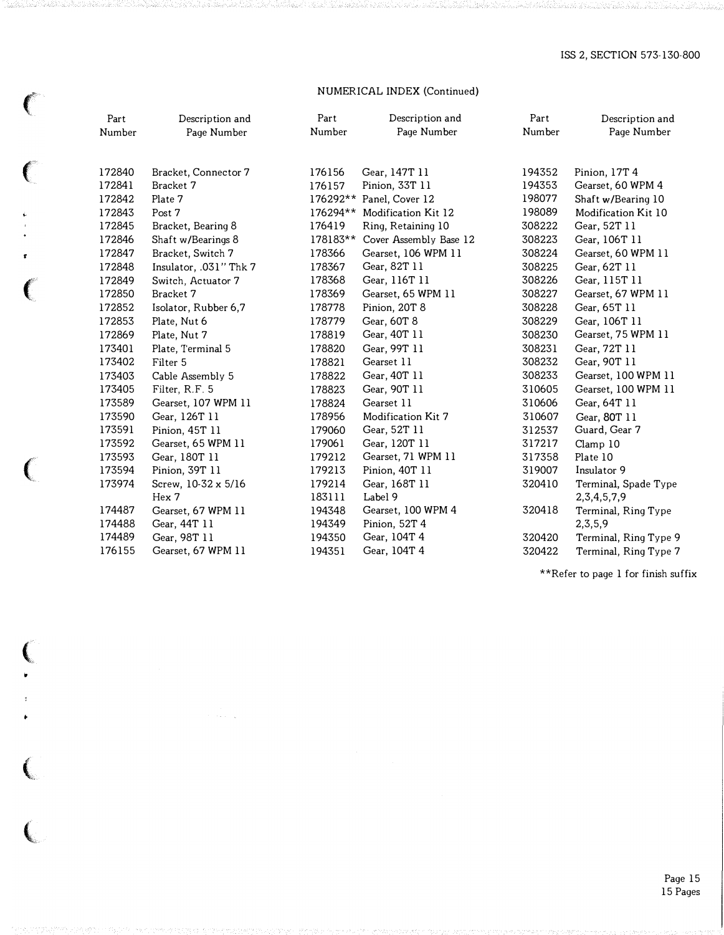# NUMERICAL INDEX (Continued)

 $\big($ 

 $\big($ 

�

 $\bar{t}$ 

 $\big($ 

 $\big($ 

|         | Part   | Description and        | Part     | Description and          | Part   | Description and       |  |  |  |  |  |
|---------|--------|------------------------|----------|--------------------------|--------|-----------------------|--|--|--|--|--|
|         | Number | Page Number            | Number   | Page Number              | Number | Page Number           |  |  |  |  |  |
|         | 172840 | Bracket, Connector 7   | 176156   | Gear, 147T 11            | 194352 | Pinion, 17T 4         |  |  |  |  |  |
|         | 172841 | Bracket 7              | 176157   | Pinion, 33T 11           | 194353 | Gearset, 60 WPM 4     |  |  |  |  |  |
|         | 172842 | Plate 7                |          | 176292** Panel, Cover 12 | 198077 | Shaft w/Bearing 10    |  |  |  |  |  |
|         | 172843 | Post 7                 | 176294** | Modification Kit 12      | 198089 | Modification Kit 10   |  |  |  |  |  |
|         | 172845 | Bracket, Bearing 8     | 176419   | Ring, Retaining 10       | 308222 | Gear, 52T 11          |  |  |  |  |  |
|         | 172846 | Shaft w/Bearings 8     | 178183** | Cover Assembly Base 12   | 308223 | Gear, 106T 11         |  |  |  |  |  |
|         | 172847 | Bracket, Switch 7      | 178366   | Gearset, 106 WPM 11      | 308224 | Gearset, 60 WPM 11    |  |  |  |  |  |
|         | 172848 | Insulator, .031" Thk 7 | 178367   | Gear, 82T 11             | 308225 | Gear, 62T 11          |  |  |  |  |  |
|         | 172849 | Switch, Actuator 7     | 178368   | Gear, 116T 11            | 308226 | Gear, 115T 11         |  |  |  |  |  |
|         | 172850 | Bracket 7              | 178369   | Gearset, 65 WPM 11       | 308227 | Gearset, 67 WPM 11    |  |  |  |  |  |
|         | 172852 | Isolator, Rubber 6,7   | 178778   | Pinion, 20T 8            | 308228 | Gear, 65T 11          |  |  |  |  |  |
|         | 172853 | Plate, Nut 6           | 178779   | Gear, 60T 8              | 308229 | Gear, 106T 11         |  |  |  |  |  |
|         | 172869 | Plate, Nut 7           | 178819   | Gear, 40T 11             | 308230 | Gearset, 75 WPM 11    |  |  |  |  |  |
|         | 173401 | Plate, Terminal 5      | 178820   | Gear, 99T 11             | 308231 | Gear, 72T 11          |  |  |  |  |  |
|         | 173402 | Filter 5               | 178821   | Gearset 11               | 308232 | Gear, 90T 11          |  |  |  |  |  |
|         | 173403 | Cable Assembly 5       | 178822   | Gear, 40T 11             | 308233 | Gearset, 100 WPM 11   |  |  |  |  |  |
|         | 173405 | Filter, R.F. 5         | 178823   | Gear, 90T 11             | 310605 | Gearset, 100 WPM 11   |  |  |  |  |  |
|         | 173589 | Gearset, 107 WPM 11    | 178824   | Gearset 11               | 310606 | Gear, 64T 11          |  |  |  |  |  |
|         | 173590 | Gear, 126T 11          | 178956   | Modification Kit 7       | 310607 | Gear, 80T 11          |  |  |  |  |  |
|         | 173591 | Pinion, 45T 11         | 179060   | Gear, 52T 11             | 312537 | Guard, Gear 7         |  |  |  |  |  |
|         | 173592 | Gearset, 65 WPM 11     | 179061   | Gear, 120T 11            | 317217 | Clamp 10              |  |  |  |  |  |
|         | 173593 | Gear, 180T 11          | 179212   | Gearset, 71 WPM 11       | 317358 | Plate 10              |  |  |  |  |  |
| $\big($ | 173594 | Pinion, 39T 11         | 179213   | Pinion, 40T 11           | 319007 | Insulator 9           |  |  |  |  |  |
|         | 173974 | Screw, 10-32 x 5/16    | 179214   | Gear, 168T 11            | 320410 | Terminal, Spade Type  |  |  |  |  |  |
|         |        | Hex 7                  | 183111   | Label 9                  |        | 2, 3, 4, 5, 7, 9      |  |  |  |  |  |
|         | 174487 | Gearset, 67 WPM 11     | 194348   | Gearset, 100 WPM 4       | 320418 | Terminal, Ring Type   |  |  |  |  |  |
|         | 174488 | Gear, 44T 11           | 194349   | Pinion, 52T 4            |        | 2, 3, 5, 9            |  |  |  |  |  |
|         | 174489 | Gear, 98T 11           | 194350   | Gear, 104T 4             | 320420 | Terminal, Ring Type 9 |  |  |  |  |  |
|         | 176155 | Gearset, 67 WPM 11     | 194351   | Gear, 104T 4             | 320422 | Terminal, Ring Type 7 |  |  |  |  |  |

 $^{\star\star}\text{Refer to page 1 for finish suffix}$ 

Page 15 15 Pages